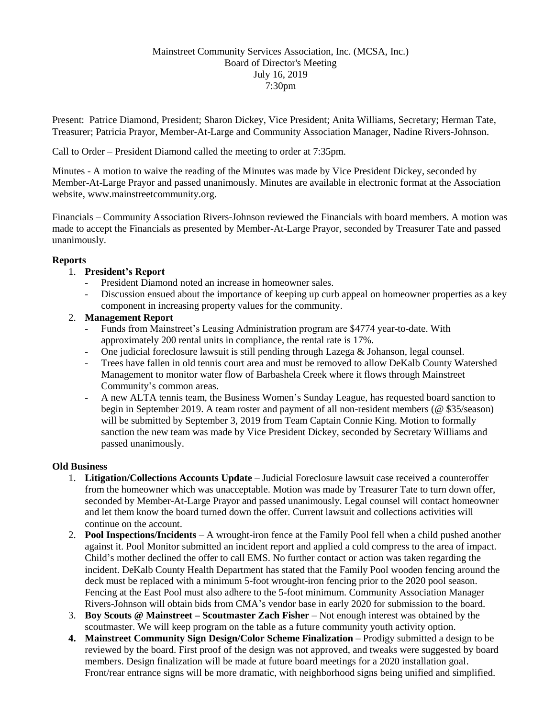#### Mainstreet Community Services Association, Inc. (MCSA, Inc.) Board of Director's Meeting July 16, 2019 7:30pm

Present: Patrice Diamond, President; Sharon Dickey, Vice President; Anita Williams, Secretary; Herman Tate, Treasurer; Patricia Prayor, Member-At-Large and Community Association Manager, Nadine Rivers-Johnson.

Call to Order – President Diamond called the meeting to order at 7:35pm.

Minutes - A motion to waive the reading of the Minutes was made by Vice President Dickey, seconded by Member-At-Large Prayor and passed unanimously. Minutes are available in electronic format at the Association website, www.mainstreetcommunity.org.

Financials – Community Association Rivers-Johnson reviewed the Financials with board members. A motion was made to accept the Financials as presented by Member-At-Large Prayor, seconded by Treasurer Tate and passed unanimously.

# **Reports**

# 1. **President's Report**

- President Diamond noted an increase in homeowner sales.
- Discussion ensued about the importance of keeping up curb appeal on homeowner properties as a key component in increasing property values for the community.

# 2. **Management Report**

- Funds from Mainstreet's Leasing Administration program are \$4774 year-to-date. With approximately 200 rental units in compliance, the rental rate is 17%.
- One judicial foreclosure lawsuit is still pending through Lazega & Johanson, legal counsel.
- Trees have fallen in old tennis court area and must be removed to allow DeKalb County Watershed Management to monitor water flow of Barbashela Creek where it flows through Mainstreet Community's common areas.
- A new ALTA tennis team, the Business Women's Sunday League, has requested board sanction to begin in September 2019. A team roster and payment of all non-resident members (@ \$35/season) will be submitted by September 3, 2019 from Team Captain Connie King. Motion to formally sanction the new team was made by Vice President Dickey, seconded by Secretary Williams and passed unanimously.

#### **Old Business**

- 1. **Litigation/Collections Accounts Update** Judicial Foreclosure lawsuit case received a counteroffer from the homeowner which was unacceptable. Motion was made by Treasurer Tate to turn down offer, seconded by Member-At-Large Prayor and passed unanimously. Legal counsel will contact homeowner and let them know the board turned down the offer. Current lawsuit and collections activities will continue on the account.
- 2. **Pool Inspections/Incidents** A wrought-iron fence at the Family Pool fell when a child pushed another against it. Pool Monitor submitted an incident report and applied a cold compress to the area of impact. Child's mother declined the offer to call EMS. No further contact or action was taken regarding the incident. DeKalb County Health Department has stated that the Family Pool wooden fencing around the deck must be replaced with a minimum 5-foot wrought-iron fencing prior to the 2020 pool season. Fencing at the East Pool must also adhere to the 5-foot minimum. Community Association Manager Rivers-Johnson will obtain bids from CMA's vendor base in early 2020 for submission to the board.
- 3. **Boy Scouts @ Mainstreet – Scoutmaster Zach Fisher** Not enough interest was obtained by the scoutmaster. We will keep program on the table as a future community youth activity option.
- **4. Mainstreet Community Sign Design/Color Scheme Finalization** Prodigy submitted a design to be reviewed by the board. First proof of the design was not approved, and tweaks were suggested by board members. Design finalization will be made at future board meetings for a 2020 installation goal. Front/rear entrance signs will be more dramatic, with neighborhood signs being unified and simplified.